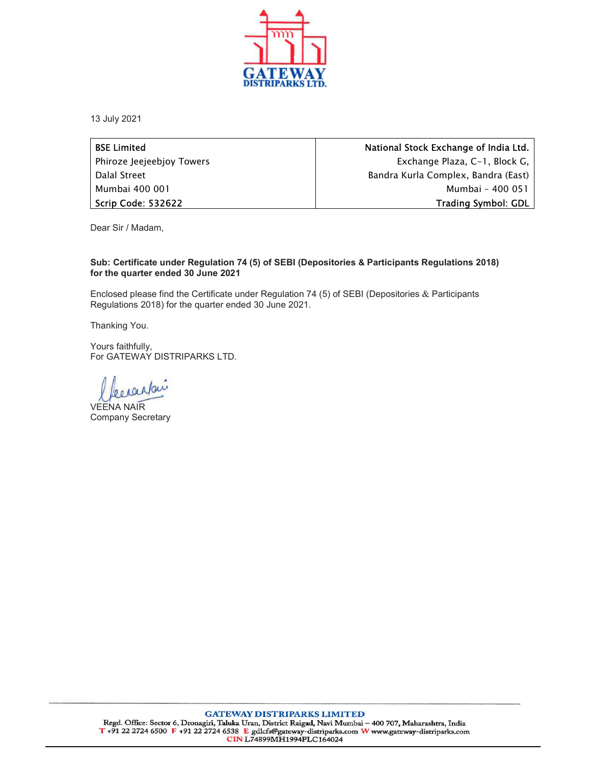

13 July 2021

| <b>BSE Limited</b>        | National Stock Exchange of India Ltd. |
|---------------------------|---------------------------------------|
| Phiroze Jeejeebjoy Towers | Exchange Plaza, C-1, Block G, I       |
| Dalal Street              | Bandra Kurla Complex, Bandra (East)   |
| Mumbai 400 001            | Mumbai - 400 051                      |
| Scrip Code: 532622        | <b>Trading Symbol: GDL</b>            |

Dear Sir / Madam,

## Sub: Certificate under Regulation 74 (5) of SEBI (Depositories & Participants Regulations 2018) for the quarter ended 30 June 2021

Enclosed please find the Certificate under Regulation 74 (5) of SEBI (Depositories & Participants Regulations 2018) for the quarter ended 30 June 2021.

Thanking You.

Yours faithfully, For GATEWAY DISTRIPARKS LTD.<br> *Lee Louafour*<br>
VEENA NAIR

Company Secretary